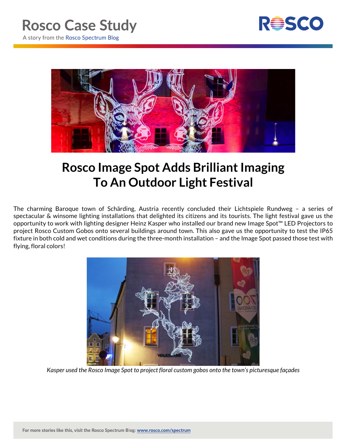

A story from the Rosco Spectrum Blog



## **Rosco Image Spot Adds Brilliant Imaging To An Outdoor Light Festival**

The charming Baroque town of Schärding, Austria recently concluded their Lichtspiele Rundweg – a series of spectacular & winsome lighting installations that delighted its citizens and its tourists. The light festival gave us the opportunity to work with lighting designer Heinz Kasper who installed our brand new Image Spot™ LED Projectors to project Rosco Custom Gobos onto several buildings around town. This also gave us the opportunity to test the IP65 fixture in both cold and wet conditions during the three-month installation – and the Image Spot passed those test with flying, floral colors!



*Kasper used the Rosco Image Spot to project floral custom gobos onto the town's picturesque façades*